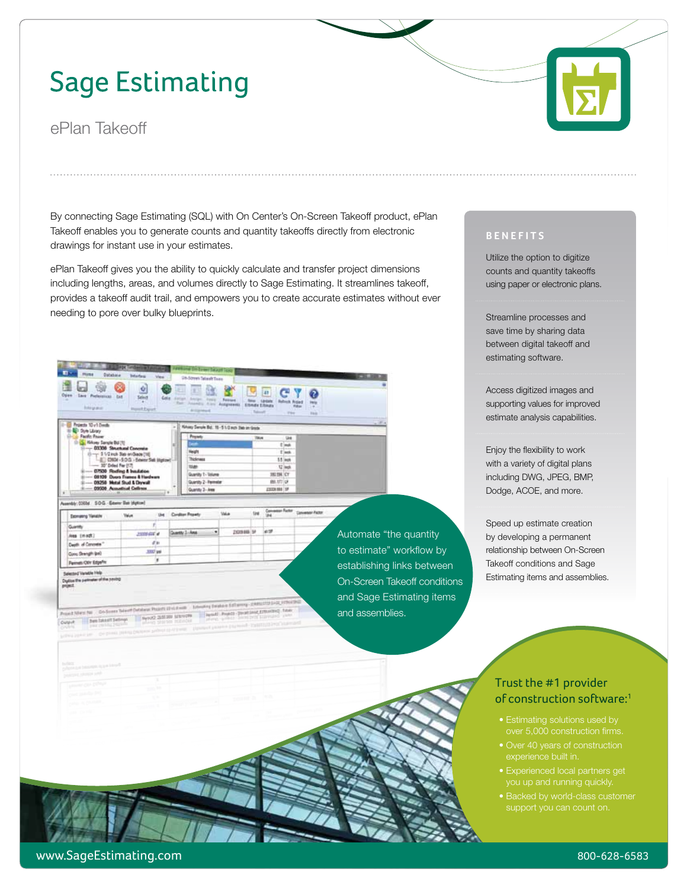## **Sage Estimating**

ePlan Takeoff

Esprasmy Vanable

Aves (modt)

Digitize the part

ett af Can

os Shengh (en) web/Othr Edge<sup>p</sup> Viendie Heb of the ne

By connecting Sage Estimating (SQL) with On Center's On-Screen Takeoff product, ePlan Takeoff enables you to generate counts and quantity takeoffs directly from electronic drawings for instant use in your estimates.

ePlan Takeoff gives you the ability to quickly calculate and transfer project dimensions including lengths, areas, and volumes directly to Sage Estimating. It streamlines takeoff, provides a takeoff audit trail, and empowers you to create accurate estimates without ever needing to pore over bulky blueprints.



**Volus** 

and Department Dealership Cheese the

Contier Po

**University of the United States President Constitutions (Education States)**<br>Population of the United States (Education Constitution)

sty 1-Am

2009/06/14

be bearing below a special state of the second state of the second state of the second state of the second state of the second state of the second state of the second state of the second state of the second state of the se

is

3307 pm

Automate "the quantity to estimate" workflow by establishing links between On-Screen Takeoff conditions and Sage Estimating items and assemblies.

## **Benefits**

Utilize the option to digitize counts and quantity takeoffs using paper or electronic plans.

Streamline processes and save time by sharing data between digital takeoff and estimating software.

Access digitized images and supporting values for improved estimate analysis capabilities.

Enjoy the flexibility to work with a variety of digital plans including DWG, JPEG, BMP, Dodge, ACOE, and more.

Speed up estimate creation by developing a permanent relationship between On-Screen Takeoff conditions and Sage Estimating items and assemblies.



**Exite** 笥 lie.



- Estimating solutions used by over 5,000 construction firms.
- experience built in.
- 
- Backed by world-class customer